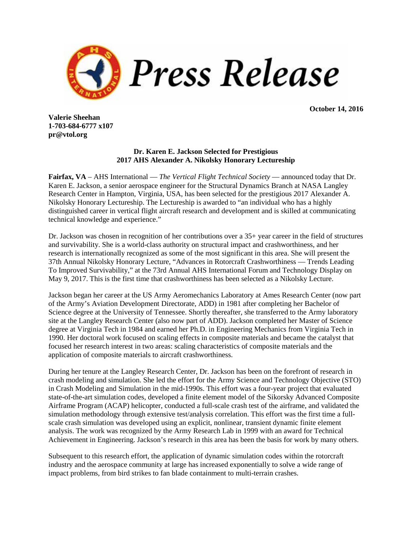

**October 14, 2016**

**Valerie Sheehan 1-703-684-6777 x107 pr@vtol.org**

## **Dr. Karen E. Jackson Selected for Prestigious 2017 AHS Alexander A. Nikolsky Honorary Lectureship**

**Fairfax, VA** – AHS International — *The Vertical Flight Technical Society* — announced today that Dr. Karen E. Jackson, a senior aerospace engineer for the Structural Dynamics Branch at NASA Langley Research Center in Hampton, Virginia, USA, has been selected for the prestigious 2017 Alexander A. Nikolsky Honorary Lectureship. The Lectureship is awarded to "an individual who has a highly distinguished career in vertical flight aircraft research and development and is skilled at communicating technical knowledge and experience."

Dr. Jackson was chosen in recognition of her contributions over a 35+ year career in the field of structures and survivability. She is a world-class authority on structural impact and crashworthiness, and her research is internationally recognized as some of the most significant in this area. She will present the 37th Annual Nikolsky Honorary Lecture, "Advances in Rotorcraft Crashworthiness — Trends Leading To Improved Survivability," at the 73rd Annual AHS International Forum and Technology Display on May 9, 2017. This is the first time that crashworthiness has been selected as a Nikolsky Lecture.

Jackson began her career at the US Army Aeromechanics Laboratory at Ames Research Center (now part of the Army's Aviation Development Directorate, ADD) in 1981 after completing her Bachelor of Science degree at the University of Tennessee. Shortly thereafter, she transferred to the Army laboratory site at the Langley Research Center (also now part of ADD). Jackson completed her Master of Science degree at Virginia Tech in 1984 and earned her Ph.D. in Engineering Mechanics from Virginia Tech in 1990. Her doctoral work focused on scaling effects in composite materials and became the catalyst that focused her research interest in two areas: scaling characteristics of composite materials and the application of composite materials to aircraft crashworthiness.

During her tenure at the Langley Research Center, Dr. Jackson has been on the forefront of research in crash modeling and simulation. She led the effort for the Army Science and Technology Objective (STO) in Crash Modeling and Simulation in the mid-1990s. This effort was a four-year project that evaluated state-of-the-art simulation codes, developed a finite element model of the Sikorsky Advanced Composite Airframe Program (ACAP) helicopter, conducted a full-scale crash test of the airframe, and validated the simulation methodology through extensive test/analysis correlation. This effort was the first time a fullscale crash simulation was developed using an explicit, nonlinear, transient dynamic finite element analysis. The work was recognized by the Army Research Lab in 1999 with an award for Technical Achievement in Engineering. Jackson's research in this area has been the basis for work by many others.

Subsequent to this research effort, the application of dynamic simulation codes within the rotorcraft industry and the aerospace community at large has increased exponentially to solve a wide range of impact problems, from bird strikes to fan blade containment to multi-terrain crashes.